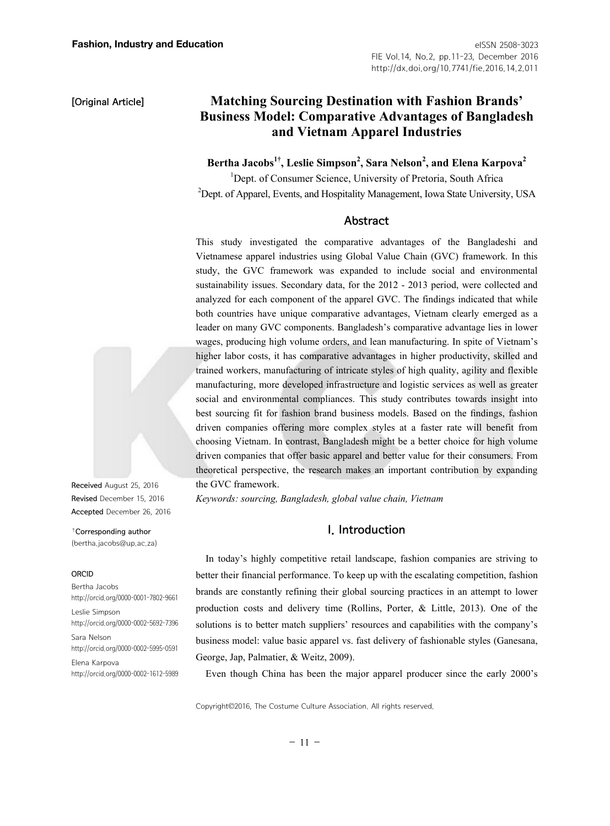# **Matching Sourcing Destination with Fashion Brands' Business Model: Comparative Advantages of Bangladesh and Vietnam Apparel Industries**

 $\,$  Bertha Jacobs $^{1\dagger}$ , Leslie Simpson $^{2}$ , Sara Nelson $^{2}$ , and Elena Karpova $^{2}$ 

<sup>1</sup>Dept. of Consumer Science, University of Pretoria, South Africa <sup>2</sup>Dept. of Apparel, Events, and Hospitality Management, Iowa State University, USA

## Abstract

This study investigated the comparative advantages of the Bangladeshi and Vietnamese apparel industries using Global Value Chain (GVC) framework. In this study, the GVC framework was expanded to include social and environmental sustainability issues. Secondary data, for the 2012 - 2013 period, were collected and analyzed for each component of the apparel GVC. The findings indicated that while both countries have unique comparative advantages, Vietnam clearly emerged as a leader on many GVC components. Bangladesh's comparative advantage lies in lower wages, producing high volume orders, and lean manufacturing. In spite of Vietnam's higher labor costs, it has comparative advantages in higher productivity, skilled and trained workers, manufacturing of intricate styles of high quality, agility and flexible manufacturing, more developed infrastructure and logistic services as well as greater social and environmental compliances. This study contributes towards insight into best sourcing fit for fashion brand business models. Based on the findings, fashion driven companies offering more complex styles at a faster rate will benefit from choosing Vietnam. In contrast, Bangladesh might be a better choice for high volume driven companies that offer basic apparel and better value for their consumers. From theoretical perspective, the research makes an important contribution by expanding the GVC framework.

*Keywords: sourcing, Bangladesh, global value chain, Vietnam* 

# I. Introduction

In today's highly competitive retail landscape, fashion companies are striving to better their financial performance. To keep up with the escalating competition, fashion brands are constantly refining their global sourcing practices in an attempt to lower production costs and delivery time (Rollins, Porter, & Little, 2013). One of the solutions is to better match suppliers' resources and capabilities with the company's business model: value basic apparel vs. fast delivery of fashionable styles (Ganesana, George, Jap, Palmatier, & Weitz, 2009).

Even though China has been the major apparel producer since the early 2000's

Copyright©2016, The Costume Culture Association. All rights reserved.



Received August 25, 2016 Revised December 15, 2016 Accepted December 26, 2016

†Corresponding author (bertha.jacobs@up.ac.za)

#### ORCID

Bertha Jacobs http://orcid.org/0000-0001-7802-9661 Leslie Simpson http://orcid.org/0000-0002-5692-7396 Sara Nelson http://orcid.org/0000-0002-5995-0591 Elena Karpova http://orcid.org/0000-0002-1612-5989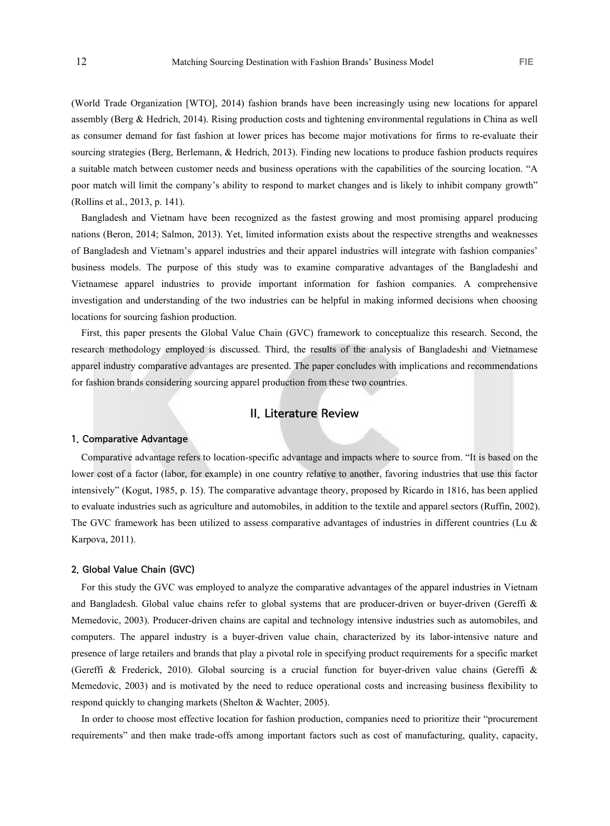(World Trade Organization [WTO], 2014) fashion brands have been increasingly using new locations for apparel assembly (Berg & Hedrich, 2014). Rising production costs and tightening environmental regulations in China as well as consumer demand for fast fashion at lower prices has become major motivations for firms to re-evaluate their sourcing strategies (Berg, Berlemann, & Hedrich, 2013). Finding new locations to produce fashion products requires a suitable match between customer needs and business operations with the capabilities of the sourcing location. "A poor match will limit the company's ability to respond to market changes and is likely to inhibit company growth" (Rollins et al., 2013, p. 141).

Bangladesh and Vietnam have been recognized as the fastest growing and most promising apparel producing nations (Beron, 2014; Salmon, 2013). Yet, limited information exists about the respective strengths and weaknesses of Bangladesh and Vietnam's apparel industries and their apparel industries will integrate with fashion companies' business models. The purpose of this study was to examine comparative advantages of the Bangladeshi and Vietnamese apparel industries to provide important information for fashion companies. A comprehensive investigation and understanding of the two industries can be helpful in making informed decisions when choosing locations for sourcing fashion production.

First, this paper presents the Global Value Chain (GVC) framework to conceptualize this research. Second, the research methodology employed is discussed. Third, the results of the analysis of Bangladeshi and Vietnamese apparel industry comparative advantages are presented. The paper concludes with implications and recommendations for fashion brands considering sourcing apparel production from these two countries.

# II. Literature Review

### 1. Comparative Advantage

Comparative advantage refers to location-specific advantage and impacts where to source from. "It is based on the lower cost of a factor (labor, for example) in one country relative to another, favoring industries that use this factor intensively" (Kogut, 1985, p. 15). The comparative advantage theory, proposed by Ricardo in 1816, has been applied to evaluate industries such as agriculture and automobiles, in addition to the textile and apparel sectors (Ruffin, 2002). The GVC framework has been utilized to assess comparative advantages of industries in different countries (Lu & Karpova, 2011).

### 2. Global Value Chain (GVC)

For this study the GVC was employed to analyze the comparative advantages of the apparel industries in Vietnam and Bangladesh. Global value chains refer to global systems that are producer-driven or buyer-driven (Gereffi & Memedovic, 2003). Producer-driven chains are capital and technology intensive industries such as automobiles, and computers. The apparel industry is a buyer-driven value chain, characterized by its labor-intensive nature and presence of large retailers and brands that play a pivotal role in specifying product requirements for a specific market (Gereffi & Frederick, 2010). Global sourcing is a crucial function for buyer-driven value chains (Gereffi & Memedovic, 2003) and is motivated by the need to reduce operational costs and increasing business flexibility to respond quickly to changing markets (Shelton & Wachter, 2005).

In order to choose most effective location for fashion production, companies need to prioritize their "procurement requirements" and then make trade-offs among important factors such as cost of manufacturing, quality, capacity,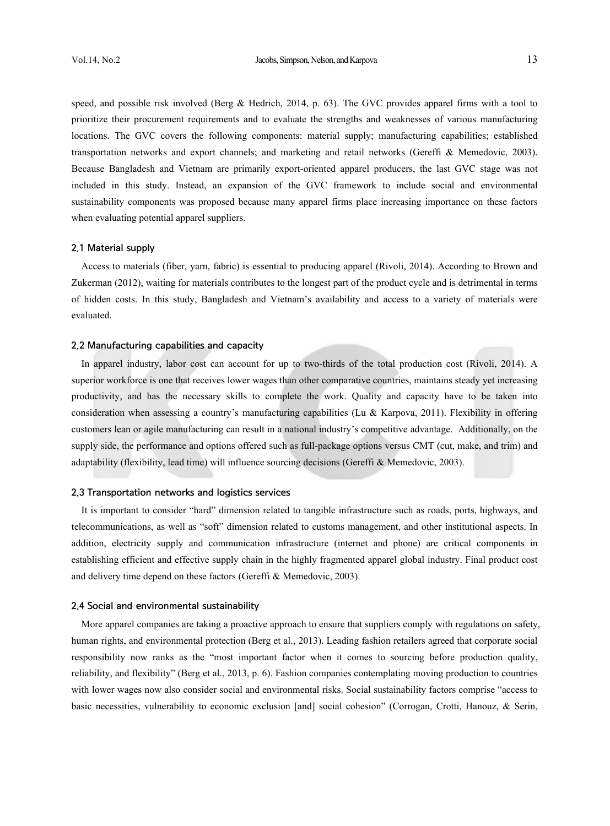speed, and possible risk involved (Berg & Hedrich, 2014, p. 63). The GVC provides apparel firms with a tool to prioritize their procurement requirements and to evaluate the strengths and weaknesses of various manufacturing locations. The GVC covers the following components: material supply; manufacturing capabilities; established transportation networks and export channels; and marketing and retail networks (Gereffi & Memedovic, 2003). Because Bangladesh and Vietnam are primarily export-oriented apparel producers, the last GVC stage was not included in this study. Instead, an expansion of the GVC framework to include social and environmental sustainability components was proposed because many apparel firms place increasing importance on these factors when evaluating potential apparel suppliers.

#### 2.1 Material supply

Access to materials (fiber, yarn, fabric) is essential to producing apparel (Rivoli, 2014). According to Brown and Zukerman (2012), waiting for materials contributes to the longest part of the product cycle and is detrimental in terms of hidden costs. In this study, Bangladesh and Vietnam's availability and access to a variety of materials were evaluated.

## 2.2 Manufacturing capabilities and capacity

In apparel industry, labor cost can account for up to two-thirds of the total production cost (Rivoli, 2014). A superior workforce is one that receives lower wages than other comparative countries, maintains steady yet increasing productivity, and has the necessary skills to complete the work. Quality and capacity have to be taken into consideration when assessing a country's manufacturing capabilities (Lu & Karpova, 2011). Flexibility in offering customers lean or agile manufacturing can result in a national industry's competitive advantage. Additionally, on the supply side, the performance and options offered such as full-package options versus CMT (cut, make, and trim) and adaptability (flexibility, lead time) will influence sourcing decisions (Gereffi & Memedovic, 2003).

### 2.3 Transportation networks and logistics services

It is important to consider "hard" dimension related to tangible infrastructure such as roads, ports, highways, and telecommunications, as well as "soft" dimension related to customs management, and other institutional aspects. In addition, electricity supply and communication infrastructure (internet and phone) are critical components in establishing efficient and effective supply chain in the highly fragmented apparel global industry. Final product cost and delivery time depend on these factors (Gereffi & Memedovic, 2003).

### 2.4 Social and environmental sustainability

More apparel companies are taking a proactive approach to ensure that suppliers comply with regulations on safety, human rights, and environmental protection (Berg et al., 2013). Leading fashion retailers agreed that corporate social responsibility now ranks as the "most important factor when it comes to sourcing before production quality, reliability, and flexibility" (Berg et al., 2013, p. 6). Fashion companies contemplating moving production to countries with lower wages now also consider social and environmental risks. Social sustainability factors comprise "access to basic necessities, vulnerability to economic exclusion [and] social cohesion" (Corrogan, Crotti, Hanouz, & Serin,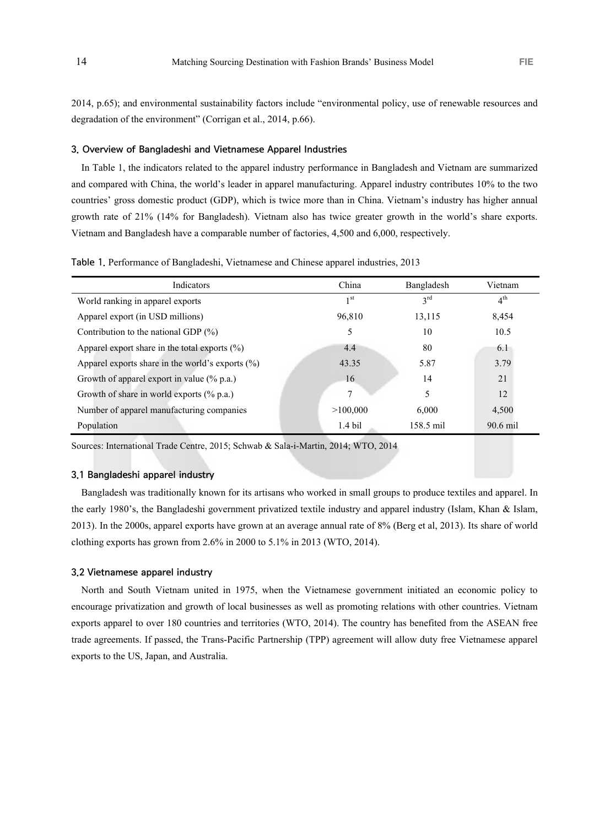2014, p.65); and environmental sustainability factors include "environmental policy, use of renewable resources and degradation of the environment" (Corrigan et al., 2014, p.66).

### 3. Overview of Bangladeshi and Vietnamese Apparel Industries

In Table 1, the indicators related to the apparel industry performance in Bangladesh and Vietnam are summarized and compared with China, the world's leader in apparel manufacturing. Apparel industry contributes 10% to the two countries' gross domestic product (GDP), which is twice more than in China. Vietnam's industry has higher annual growth rate of 21% (14% for Bangladesh). Vietnam also has twice greater growth in the world's share exports. Vietnam and Bangladesh have a comparable number of factories, 4,500 and 6,000, respectively.

| Table 1. Performance of Bangladeshi, Vietnamese and Chinese apparel industries, 2013 |  |  |  |
|--------------------------------------------------------------------------------------|--|--|--|
|--------------------------------------------------------------------------------------|--|--|--|

| Indicators                                           | China           | Bangladesh      | Vietnam         |
|------------------------------------------------------|-----------------|-----------------|-----------------|
| World ranking in apparel exports                     | 1 <sub>st</sub> | $3^{\text{rd}}$ | 4 <sup>th</sup> |
| Apparel export (in USD millions)                     | 96.810          | 13,115          | 8,454           |
| Contribution to the national GDP $(\%)$              | 5               | 10              | 10.5            |
| Apparel export share in the total exports $(\% )$    | 4.4             | 80              | 6.1             |
| Apparel exports share in the world's exports $(\% )$ | 43.35           | 5.87            | 3.79            |
| Growth of apparel export in value $(\%$ p.a.)        | 16              | 14              | 21              |
| Growth of share in world exports $(\%$ p.a.)         | 7               | 5               | 12              |
| Number of apparel manufacturing companies            | >100,000        | 6.000           | 4,500           |
| Population                                           | $1.4$ bil       | $158.5$ mil     | $90.6$ mil      |

Sources: International Trade Centre, 2015; Schwab & Sala-i-Martin, 2014; WTO, 2014

### 3.1 Bangladeshi apparel industry

Bangladesh was traditionally known for its artisans who worked in small groups to produce textiles and apparel. In the early 1980's, the Bangladeshi government privatized textile industry and apparel industry (Islam, Khan & Islam, 2013). In the 2000s, apparel exports have grown at an average annual rate of 8% (Berg et al, 2013). Its share of world clothing exports has grown from  $2.6\%$  in  $2000$  to  $5.1\%$  in  $2013$  (WTO,  $2014$ ).

### 3.2 Vietnamese apparel industry

North and South Vietnam united in 1975, when the Vietnamese government initiated an economic policy to encourage privatization and growth of local businesses as well as promoting relations with other countries. Vietnam exports apparel to over 180 countries and territories (WTO, 2014). The country has benefited from the ASEAN free trade agreements. If passed, the Trans-Pacific Partnership (TPP) agreement will allow duty free Vietnamese apparel exports to the US, Japan, and Australia.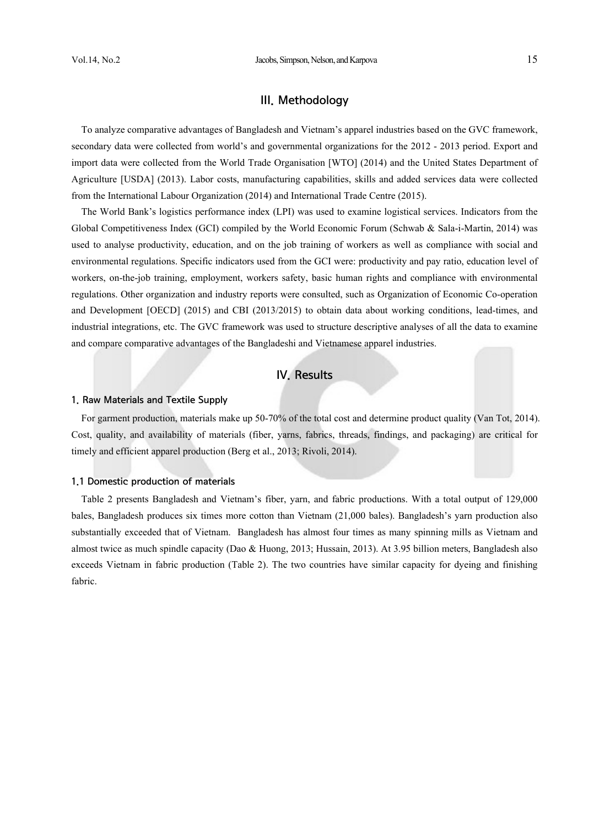# III. Methodology

To analyze comparative advantages of Bangladesh and Vietnam's apparel industries based on the GVC framework, secondary data were collected from world's and governmental organizations for the 2012 - 2013 period. Export and import data were collected from the World Trade Organisation [WTO] (2014) and the United States Department of Agriculture [USDA] (2013). Labor costs, manufacturing capabilities, skills and added services data were collected from the International Labour Organization (2014) and International Trade Centre (2015).

The World Bank's logistics performance index (LPI) was used to examine logistical services. Indicators from the Global Competitiveness Index (GCI) compiled by the World Economic Forum (Schwab & Sala-i-Martin, 2014) was used to analyse productivity, education, and on the job training of workers as well as compliance with social and environmental regulations. Specific indicators used from the GCI were: productivity and pay ratio, education level of workers, on-the-job training, employment, workers safety, basic human rights and compliance with environmental regulations. Other organization and industry reports were consulted, such as Organization of Economic Co-operation and Development [OECD] (2015) and CBI (2013/2015) to obtain data about working conditions, lead-times, and industrial integrations, etc. The GVC framework was used to structure descriptive analyses of all the data to examine and compare comparative advantages of the Bangladeshi and Vietnamese apparel industries.

## IV. Results

## 1. Raw Materials and Textile Supply

For garment production, materials make up 50-70% of the total cost and determine product quality (Van Tot, 2014). Cost, quality, and availability of materials (fiber, yarns, fabrics, threads, findings, and packaging) are critical for timely and efficient apparel production (Berg et al., 2013; Rivoli, 2014).

### 1.1 Domestic production of materials

Table 2 presents Bangladesh and Vietnam's fiber, yarn, and fabric productions. With a total output of 129,000 bales, Bangladesh produces six times more cotton than Vietnam (21,000 bales). Bangladesh's yarn production also substantially exceeded that of Vietnam. Bangladesh has almost four times as many spinning mills as Vietnam and almost twice as much spindle capacity (Dao & Huong, 2013; Hussain, 2013). At 3.95 billion meters, Bangladesh also exceeds Vietnam in fabric production (Table 2). The two countries have similar capacity for dyeing and finishing fabric.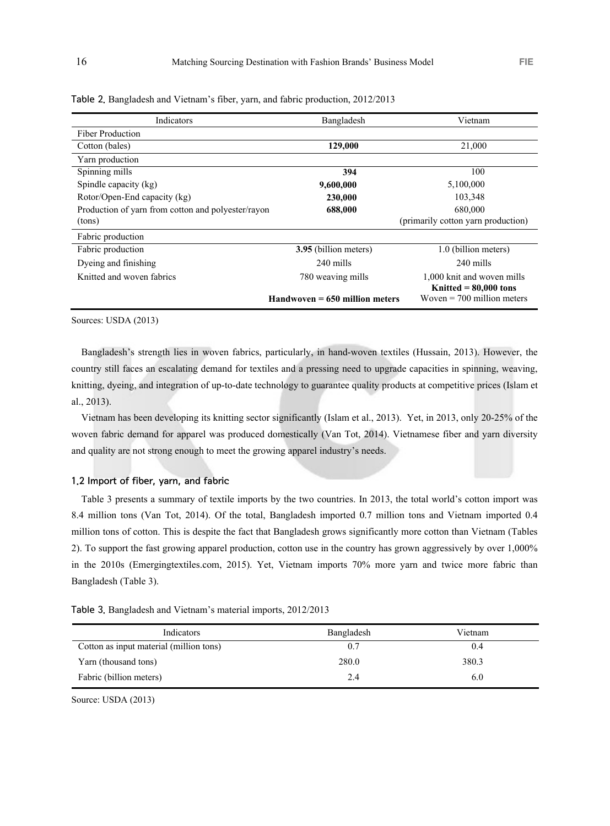| Indicators                                         | Bangladesh                        | Vietnam                                                 |
|----------------------------------------------------|-----------------------------------|---------------------------------------------------------|
| <b>Fiber Production</b>                            |                                   |                                                         |
| Cotton (bales)                                     | 129,000                           | 21,000                                                  |
| Yarn production                                    |                                   |                                                         |
| Spinning mills                                     | 394                               | 100                                                     |
| Spindle capacity (kg)                              | 9,600,000                         | 5,100,000                                               |
| Rotor/Open-End capacity (kg)                       | 230,000                           | 103,348                                                 |
| Production of yarn from cotton and polyester/rayon | 688,000                           | 680,000                                                 |
| (tons)                                             |                                   | (primarily cotton yarn production)                      |
| Fabric production                                  |                                   |                                                         |
| Fabric production                                  | 3.95 (billion meters)             | 1.0 (billion meters)                                    |
| Dyeing and finishing                               | 240 mills                         | 240 mills                                               |
| Knitted and woven fabrics                          | 780 weaving mills                 | 1,000 knit and woven mills                              |
|                                                    | $H$ andwoven = 650 million meters | Knitted $= 80,000$ tons<br>Woven $= 700$ million meters |

Table 2. Bangladesh and Vietnam's fiber, yarn, and fabric production, 2012/2013

Sources: USDA (2013)

Bangladesh's strength lies in woven fabrics, particularly, in hand-woven textiles (Hussain, 2013). However, the country still faces an escalating demand for textiles and a pressing need to upgrade capacities in spinning, weaving, knitting, dyeing, and integration of up-to-date technology to guarantee quality products at competitive prices (Islam et al., 2013).

Vietnam has been developing its knitting sector significantly (Islam et al., 2013). Yet, in 2013, only 20-25% of the woven fabric demand for apparel was produced domestically (Van Tot, 2014). Vietnamese fiber and yarn diversity and quality are not strong enough to meet the growing apparel industry's needs.

### 1.2 Import of fiber, yarn, and fabric

Table 3 presents a summary of textile imports by the two countries. In 2013, the total world's cotton import was 8.4 million tons (Van Tot, 2014). Of the total, Bangladesh imported 0.7 million tons and Vietnam imported 0.4 million tons of cotton. This is despite the fact that Bangladesh grows significantly more cotton than Vietnam (Tables 2). To support the fast growing apparel production, cotton use in the country has grown aggressively by over 1,000% in the 2010s (Emergingtextiles.com, 2015). Yet, Vietnam imports 70% more yarn and twice more fabric than Bangladesh (Table 3).

Table 3. Bangladesh and Vietnam's material imports, 2012/2013

| Indicators                              | Bangladesh | Vietnam |
|-----------------------------------------|------------|---------|
| Cotton as input material (million tons) | 0.7        | 0.4     |
| Yarn (thousand tons)                    | 280.0      | 380.3   |
| Fabric (billion meters)                 | 2.4        | 6.0     |

Source: USDA (2013)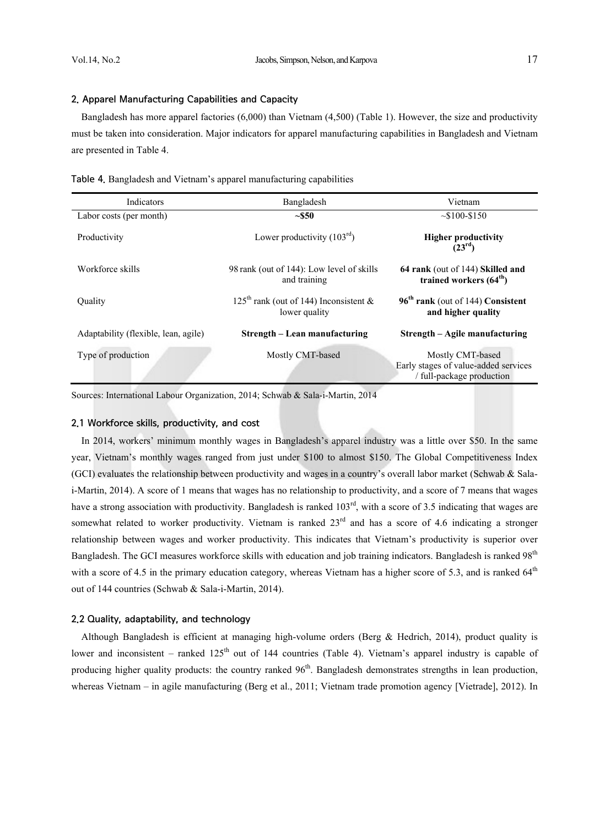## 2. Apparel Manufacturing Capabilities and Capacity

Bangladesh has more apparel factories (6,000) than Vietnam (4,500) (Table 1). However, the size and productivity must be taken into consideration. Major indicators for apparel manufacturing capabilities in Bangladesh and Vietnam are presented in Table 4.

|  | Table 4. Bangladesh and Vietnam's apparel manufacturing capabilities |  |
|--|----------------------------------------------------------------------|--|
|  |                                                                      |  |

| Indicators                           | Bangladesh                                                | Vietnam                                                                               |
|--------------------------------------|-----------------------------------------------------------|---------------------------------------------------------------------------------------|
| Labor costs (per month)              | ~550                                                      | $\sim$ \$100-\$150                                                                    |
| Productivity                         | Lower productivity $(103rd)$                              | <b>Higher productivity</b><br>(23 <sup>rd</sup> )                                     |
| Workforce skills                     | 98 rank (out of 144): Low level of skills<br>and training | 64 rank (out of 144) Skilled and<br>trained workers $(64th)$                          |
| <b>Ouality</b>                       | $125th$ rank (out of 144) Inconsistent &<br>lower quality | 96 <sup>th</sup> rank (out of 144) Consistent<br>and higher quality                   |
| Adaptability (flexible, lean, agile) | Strength – Lean manufacturing                             | Strength – Agile manufacturing                                                        |
| Type of production                   | Mostly CMT-based                                          | Mostly CMT-based<br>Early stages of value-added services<br>/ full-package production |

Sources: International Labour Organization, 2014; Schwab & Sala-i-Martin, 2014

### 2.1 Workforce skills, productivity, and cost

In 2014, workers' minimum monthly wages in Bangladesh's apparel industry was a little over \$50. In the same year, Vietnam's monthly wages ranged from just under \$100 to almost \$150. The Global Competitiveness Index (GCI) evaluates the relationship between productivity and wages in a country's overall labor market (Schwab  $\&$  Salai-Martin, 2014). A score of 1 means that wages has no relationship to productivity, and a score of 7 means that wages have a strong association with productivity. Bangladesh is ranked  $103<sup>rd</sup>$ , with a score of 3.5 indicating that wages are somewhat related to worker productivity. Vietnam is ranked  $23<sup>rd</sup>$  and has a score of 4.6 indicating a stronger relationship between wages and worker productivity. This indicates that Vietnam's productivity is superior over Bangladesh. The GCI measures workforce skills with education and job training indicators. Bangladesh is ranked 98<sup>th</sup> with a score of 4.5 in the primary education category, whereas Vietnam has a higher score of 5.3, and is ranked  $64<sup>th</sup>$ out of 144 countries (Schwab & Sala-i-Martin, 2014).

## 2.2 Quality, adaptability, and technology

Although Bangladesh is efficient at managing high-volume orders (Berg & Hedrich, 2014), product quality is lower and inconsistent – ranked 125<sup>th</sup> out of 144 countries (Table 4). Vietnam's apparel industry is capable of producing higher quality products: the country ranked  $96<sup>th</sup>$ . Bangladesh demonstrates strengths in lean production, whereas Vietnam – in agile manufacturing (Berg et al., 2011; Vietnam trade promotion agency [Vietrade], 2012). In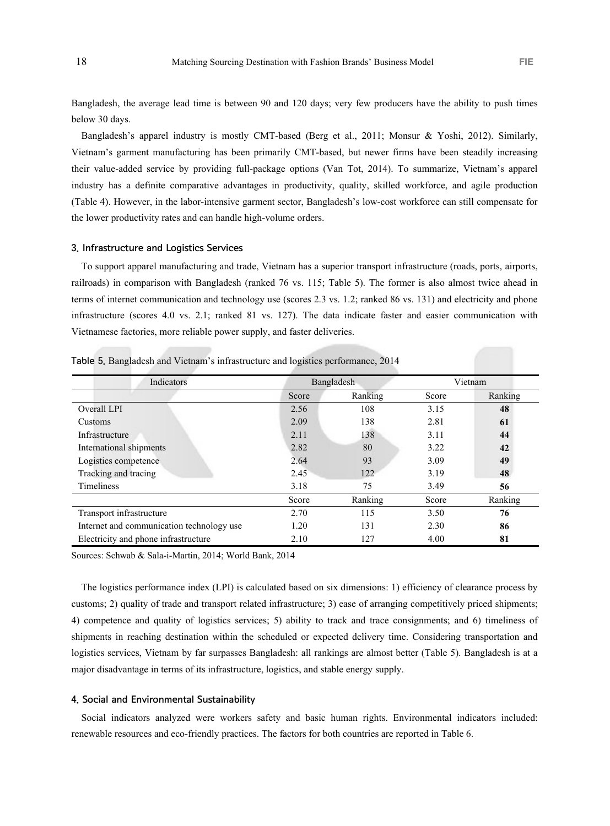Bangladesh, the average lead time is between 90 and 120 days; very few producers have the ability to push times below 30 days.

Bangladesh's apparel industry is mostly CMT-based (Berg et al., 2011; Monsur & Yoshi, 2012). Similarly, Vietnam's garment manufacturing has been primarily CMT-based, but newer firms have been steadily increasing their value-added service by providing full-package options (Van Tot, 2014). To summarize, Vietnam's apparel industry has a definite comparative advantages in productivity, quality, skilled workforce, and agile production (Table 4). However, in the labor-intensive garment sector, Bangladesh's low-cost workforce can still compensate for the lower productivity rates and can handle high-volume orders.

### 3. Infrastructure and Logistics Services

To support apparel manufacturing and trade, Vietnam has a superior transport infrastructure (roads, ports, airports, railroads) in comparison with Bangladesh (ranked 76 vs. 115; Table 5). The former is also almost twice ahead in terms of internet communication and technology use (scores 2.3 vs. 1.2; ranked 86 vs. 131) and electricity and phone infrastructure (scores 4.0 vs. 2.1; ranked 81 vs. 127). The data indicate faster and easier communication with Vietnamese factories, more reliable power supply, and faster deliveries.

| Indicators                                |       | Bangladesh |       | Vietnam |
|-------------------------------------------|-------|------------|-------|---------|
|                                           | Score | Ranking    | Score | Ranking |
| Overall LPI                               | 2.56  | 108        | 3.15  | 48      |
| Customs                                   | 2.09  | 138        | 2.81  | 61      |
| Infrastructure                            | 2.11  | 138        | 3.11  | 44      |
| International shipments                   | 2.82  | 80         | 3.22  | 42      |
| Logistics competence                      | 2.64  | 93         | 3.09  | 49      |
| Tracking and tracing                      | 2.45  | 122        | 3.19  | 48      |
| Timeliness                                | 3.18  | 75         | 3.49  | 56      |
|                                           | Score | Ranking    | Score | Ranking |
| Transport infrastructure                  | 2.70  | 115        | 3.50  | 76      |
| Internet and communication technology use | 1.20  | 131        | 2.30  | 86      |
| Electricity and phone infrastructure      | 2.10  | 127        | 4.00  | 81      |

Table 5. Bangladesh and Vietnam's infrastructure and logistics performance, 2014

Sources: Schwab & Sala-i-Martin, 2014; World Bank, 2014

The logistics performance index (LPI) is calculated based on six dimensions: 1) efficiency of clearance process by customs; 2) quality of trade and transport related infrastructure; 3) ease of arranging competitively priced shipments; 4) competence and quality of logistics services; 5) ability to track and trace consignments; and 6) timeliness of shipments in reaching destination within the scheduled or expected delivery time. Considering transportation and logistics services, Vietnam by far surpasses Bangladesh: all rankings are almost better (Table 5). Bangladesh is at a major disadvantage in terms of its infrastructure, logistics, and stable energy supply.

### 4. Social and Environmental Sustainability

Social indicators analyzed were workers safety and basic human rights. Environmental indicators included: renewable resources and eco-friendly practices. The factors for both countries are reported in Table 6.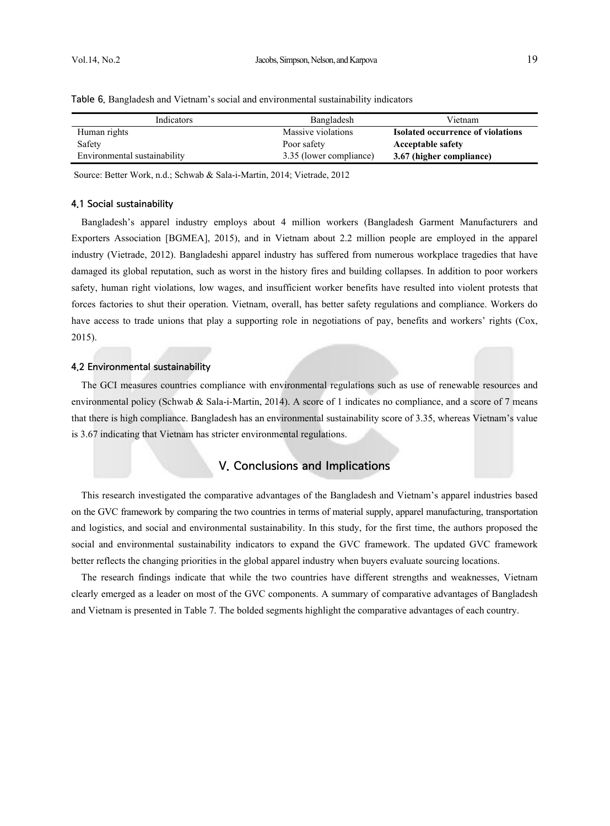| Indicators                   | Bangladesh              | Vietnam                                  |
|------------------------------|-------------------------|------------------------------------------|
| Human rights                 | Massive violations      | <b>Isolated occurrence of violations</b> |
| Safety                       | Poor safety             | <b>Acceptable safety</b>                 |
| Environmental sustainability | 3.35 (lower compliance) | 3.67 (higher compliance)                 |

Table 6. Bangladesh and Vietnam's social and environmental sustainability indicators

Source: Better Work, n.d.; Schwab & Sala-i-Martin, 2014; Vietrade, 2012

### 4.1 Social sustainability

Bangladesh's apparel industry employs about 4 million workers (Bangladesh Garment Manufacturers and Exporters Association [BGMEA], 2015), and in Vietnam about 2.2 million people are employed in the apparel industry (Vietrade, 2012). Bangladeshi apparel industry has suffered from numerous workplace tragedies that have damaged its global reputation, such as worst in the history fires and building collapses. In addition to poor workers safety, human right violations, low wages, and insufficient worker benefits have resulted into violent protests that forces factories to shut their operation. Vietnam, overall, has better safety regulations and compliance. Workers do have access to trade unions that play a supporting role in negotiations of pay, benefits and workers' rights (Cox, 2015).

## 4.2 Environmental sustainability

The GCI measures countries compliance with environmental regulations such as use of renewable resources and environmental policy (Schwab & Sala-i-Martin, 2014). A score of 1 indicates no compliance, and a score of 7 means that there is high compliance. Bangladesh has an environmental sustainability score of 3.35, whereas Vietnam's value is 3.67 indicating that Vietnam has stricter environmental regulations.

# V. Conclusions and Implications

This research investigated the comparative advantages of the Bangladesh and Vietnam's apparel industries based on the GVC framework by comparing the two countries in terms of material supply, apparel manufacturing, transportation and logistics, and social and environmental sustainability. In this study, for the first time, the authors proposed the social and environmental sustainability indicators to expand the GVC framework. The updated GVC framework better reflects the changing priorities in the global apparel industry when buyers evaluate sourcing locations.

The research findings indicate that while the two countries have different strengths and weaknesses, Vietnam clearly emerged as a leader on most of the GVC components. A summary of comparative advantages of Bangladesh and Vietnam is presented in Table 7. The bolded segments highlight the comparative advantages of each country.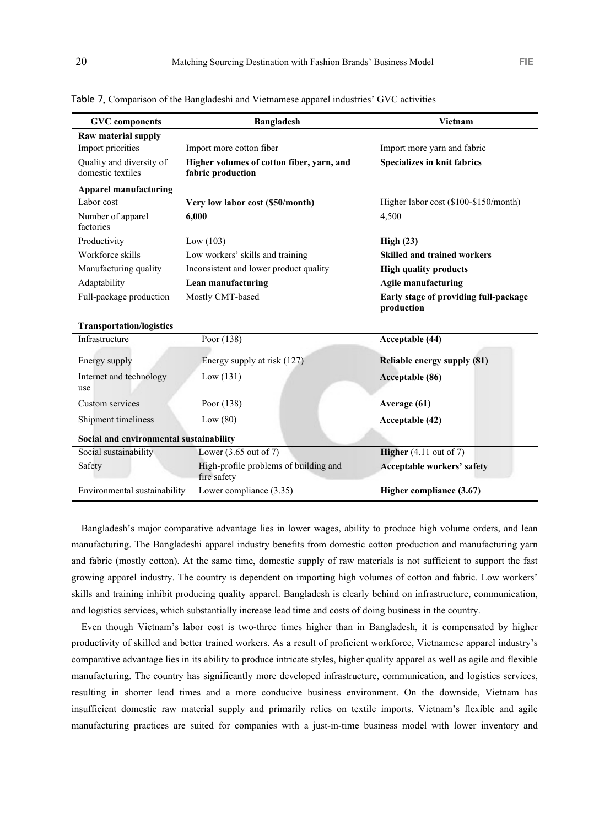| <b>GVC</b> components                         | <b>Bangladesh</b>                                              | <b>Vietnam</b>                                      |
|-----------------------------------------------|----------------------------------------------------------------|-----------------------------------------------------|
| Raw material supply                           |                                                                |                                                     |
| Import priorities                             | Import more cotton fiber                                       | Import more yarn and fabric                         |
| Quality and diversity of<br>domestic textiles | Higher volumes of cotton fiber, yarn, and<br>fabric production | <b>Specializes in knit fabrics</b>                  |
| <b>Apparel manufacturing</b>                  |                                                                |                                                     |
| Labor cost                                    | Very low labor cost (\$50/month)                               | Higher labor cost (\$100-\$150/month)               |
| Number of apparel<br>factories                | 6.000                                                          | 4.500                                               |
| Productivity                                  | Low $(103)$                                                    | High(23)                                            |
| Workforce skills                              | Low workers' skills and training                               | <b>Skilled and trained workers</b>                  |
| Manufacturing quality                         | Inconsistent and lower product quality                         | <b>High quality products</b>                        |
| Adaptability                                  | Lean manufacturing                                             | <b>Agile manufacturing</b>                          |
| Full-package production                       | Mostly CMT-based                                               | Early stage of providing full-package<br>production |
| <b>Transportation/logistics</b>               |                                                                |                                                     |
| Infrastructure                                | Poor (138)                                                     | Acceptable (44)                                     |
| Energy supply                                 | Energy supply at risk (127)                                    | Reliable energy supply (81)                         |
| Internet and technology<br>use                | Low(131)                                                       | Acceptable (86)                                     |
| Custom services                               | Poor (138)                                                     | Average (61)                                        |
| Shipment timeliness                           | Low $(80)$                                                     | Acceptable (42)                                     |
| Social and environmental sustainability       |                                                                |                                                     |
| Social sustainability                         | Lower $(3.65 \text{ out of } 7)$                               | <b>Higher</b> (4.11 out of 7)                       |
| Safety                                        | High-profile problems of building and<br>fire safety           | <b>Acceptable workers' safety</b>                   |
| Environmental sustainability                  | Lower compliance (3.35)                                        | Higher compliance (3.67)                            |

Table 7. Comparison of the Bangladeshi and Vietnamese apparel industries' GVC activities

Bangladesh's major comparative advantage lies in lower wages, ability to produce high volume orders, and lean manufacturing. The Bangladeshi apparel industry benefits from domestic cotton production and manufacturing yarn and fabric (mostly cotton). At the same time, domestic supply of raw materials is not sufficient to support the fast growing apparel industry. The country is dependent on importing high volumes of cotton and fabric. Low workers' skills and training inhibit producing quality apparel. Bangladesh is clearly behind on infrastructure, communication, and logistics services, which substantially increase lead time and costs of doing business in the country.

Even though Vietnam's labor cost is two-three times higher than in Bangladesh, it is compensated by higher productivity of skilled and better trained workers. As a result of proficient workforce, Vietnamese apparel industry's comparative advantage lies in its ability to produce intricate styles, higher quality apparel as well as agile and flexible manufacturing. The country has significantly more developed infrastructure, communication, and logistics services, resulting in shorter lead times and a more conducive business environment. On the downside, Vietnam has insufficient domestic raw material supply and primarily relies on textile imports. Vietnam's flexible and agile manufacturing practices are suited for companies with a just-in-time business model with lower inventory and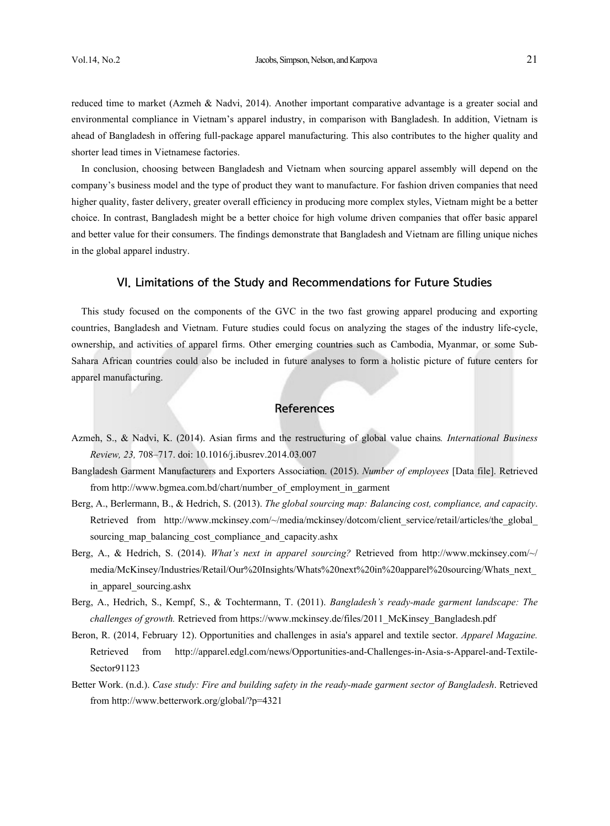reduced time to market (Azmeh & Nadvi, 2014). Another important comparative advantage is a greater social and environmental compliance in Vietnam's apparel industry, in comparison with Bangladesh. In addition, Vietnam is ahead of Bangladesh in offering full-package apparel manufacturing. This also contributes to the higher quality and shorter lead times in Vietnamese factories.

In conclusion, choosing between Bangladesh and Vietnam when sourcing apparel assembly will depend on the company's business model and the type of product they want to manufacture. For fashion driven companies that need higher quality, faster delivery, greater overall efficiency in producing more complex styles, Vietnam might be a better choice. In contrast, Bangladesh might be a better choice for high volume driven companies that offer basic apparel and better value for their consumers. The findings demonstrate that Bangladesh and Vietnam are filling unique niches in the global apparel industry.

## VI. Limitations of the Study and Recommendations for Future Studies

This study focused on the components of the GVC in the two fast growing apparel producing and exporting countries, Bangladesh and Vietnam. Future studies could focus on analyzing the stages of the industry life-cycle, ownership, and activities of apparel firms. Other emerging countries such as Cambodia, Myanmar, or some Sub-Sahara African countries could also be included in future analyses to form a holistic picture of future centers for apparel manufacturing.

# **References**

- Azmeh, S., & Nadvi, K. (2014). Asian firms and the restructuring of global value chains*. International Business Review, 23,* 708–717. doi: 10.1016/j.ibusrev.2014.03.007
- Bangladesh Garment Manufacturers and Exporters Association. (2015). *Number of employees* [Data file]. Retrieved from http://www.bgmea.com.bd/chart/number\_of\_employment\_in\_garment
- Berg, A., Berlermann, B., & Hedrich, S. (2013). *The global sourcing map: Balancing cost, compliance, and capacity*. Retrieved from http://www.mckinsey.com/~/media/mckinsey/dotcom/client\_service/retail/articles/the\_global\_ sourcing map balancing cost compliance and capacity.ashx
- Berg, A., & Hedrich, S. (2014). *What's next in apparel sourcing?* Retrieved from http://www.mckinsey.com/~/ media/McKinsey/Industries/Retail/Our%20Insights/Whats%20next%20in%20apparel%20sourcing/Whats\_next\_ in apparel sourcing.ashx
- Berg, A., Hedrich, S., Kempf, S., & Tochtermann, T. (2011). *Bangladesh's ready-made garment landscape: The challenges of growth.* Retrieved from https://www.mckinsey.de/files/2011\_McKinsey\_Bangladesh.pdf
- Beron, R. (2014, February 12). Opportunities and challenges in asia's apparel and textile sector. *Apparel Magazine.*  Retrieved from http://apparel.edgl.com/news/Opportunities-and-Challenges-in-Asia-s-Apparel-and-Textile-Sector91123
- Better Work. (n.d.). *Case study: Fire and building safety in the ready-made garment sector of Bangladesh*. Retrieved from http://www.betterwork.org/global/?p=4321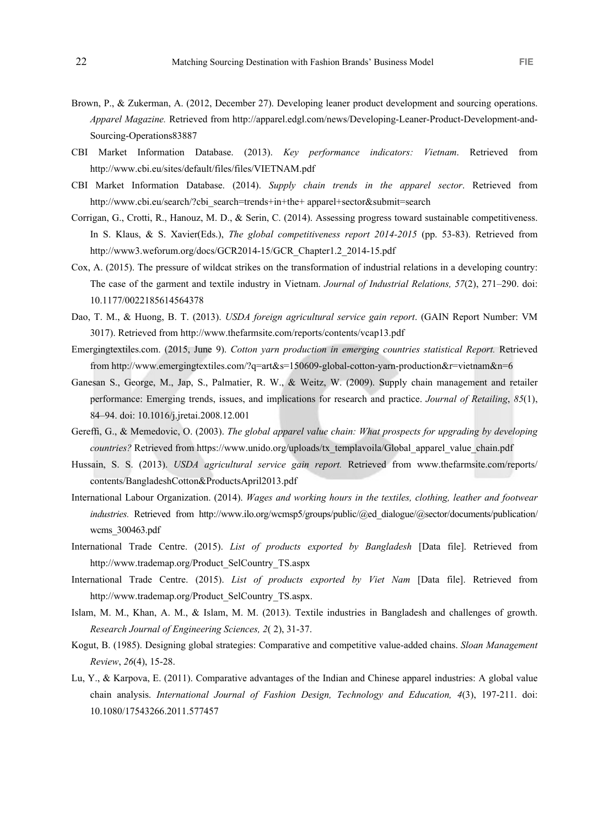- Brown, P., & Zukerman, A. (2012, December 27). Developing leaner product development and sourcing operations. *Apparel Magazine.* Retrieved from http://apparel.edgl.com/news/Developing-Leaner-Product-Development-and-Sourcing-Operations83887
- CBI Market Information Database. (2013). *Key performance indicators: Vietnam*. Retrieved from http://www.cbi.eu/sites/default/files/files/VIETNAM.pdf
- CBI Market Information Database. (2014). *Supply chain trends in the apparel sector*. Retrieved from http://www.cbi.eu/search/?cbi\_search=trends+in+the+ apparel+sector&submit=search
- Corrigan, G., Crotti, R., Hanouz, M. D., & Serin, C. (2014). Assessing progress toward sustainable competitiveness. In S. Klaus, & S. Xavier(Eds.), *The global competitiveness report 2014-2015* (pp. 53-83). Retrieved from http://www3.weforum.org/docs/GCR2014-15/GCR\_Chapter1.2\_2014-15.pdf
- Cox, A. (2015). The pressure of wildcat strikes on the transformation of industrial relations in a developing country: The case of the garment and textile industry in Vietnam. *Journal of Industrial Relations, 57*(2), 271–290. doi: 10.1177/0022185614564378
- Dao, T. M., & Huong, B. T. (2013). *USDA foreign agricultural service gain report*. (GAIN Report Number: VM 3017). Retrieved from http://www.thefarmsite.com/reports/contents/vcap13.pdf
- Emergingtextiles.com. (2015, June 9). *Cotton yarn production in emerging countries statistical Report.* Retrieved from http://www.emergingtextiles.com/?q=art&s=150609-global-cotton-yarn-production&r=vietnam&n=6
- Ganesan S., George, M., Jap, S., Palmatier, R. W., & Weitz, W. (2009). Supply chain management and retailer performance: Emerging trends, issues, and implications for research and practice. *Journal of Retailing*, *85*(1), 84–94. doi: 10.1016/j.jretai.2008.12.001
- Gereffi, G., & Memedovic, O. (2003). *The global apparel value chain: What prospects for upgrading by developing countries?* Retrieved from https://www.unido.org/uploads/tx\_templavoila/Global\_apparel\_value\_chain.pdf
- Hussain, S. S. (2013). *USDA agricultural service gain report.* Retrieved from www.thefarmsite.com/reports/ contents/BangladeshCotton&ProductsApril2013.pdf
- International Labour Organization. (2014). *Wages and working hours in the textiles, clothing, leather and footwear industries.* Retrieved from http://www.ilo.org/wcmsp5/groups/public/@ed\_dialogue/@sector/documents/publication/ wcms\_300463.pdf
- International Trade Centre. (2015). *List of products exported by Bangladesh* [Data file]. Retrieved from http://www.trademap.org/Product\_SelCountry\_TS.aspx
- International Trade Centre. (2015). *List of products exported by Viet Nam* [Data file]. Retrieved from http://www.trademap.org/Product\_SelCountry\_TS.aspx.
- Islam, M. M., Khan, A. M., & Islam, M. M. (2013). Textile industries in Bangladesh and challenges of growth. *Research Journal of Engineering Sciences, 2*( 2), 31-37.
- Kogut, B. (1985). Designing global strategies: Comparative and competitive value-added chains. *Sloan Management Review*, *26*(4), 15-28.
- Lu, Y., & Karpova, E. (2011). Comparative advantages of the Indian and Chinese apparel industries: A global value chain analysis. *International Journal of Fashion Design, Technology and Education, 4*(3), 197-211. doi: 10.1080/17543266.2011.577457